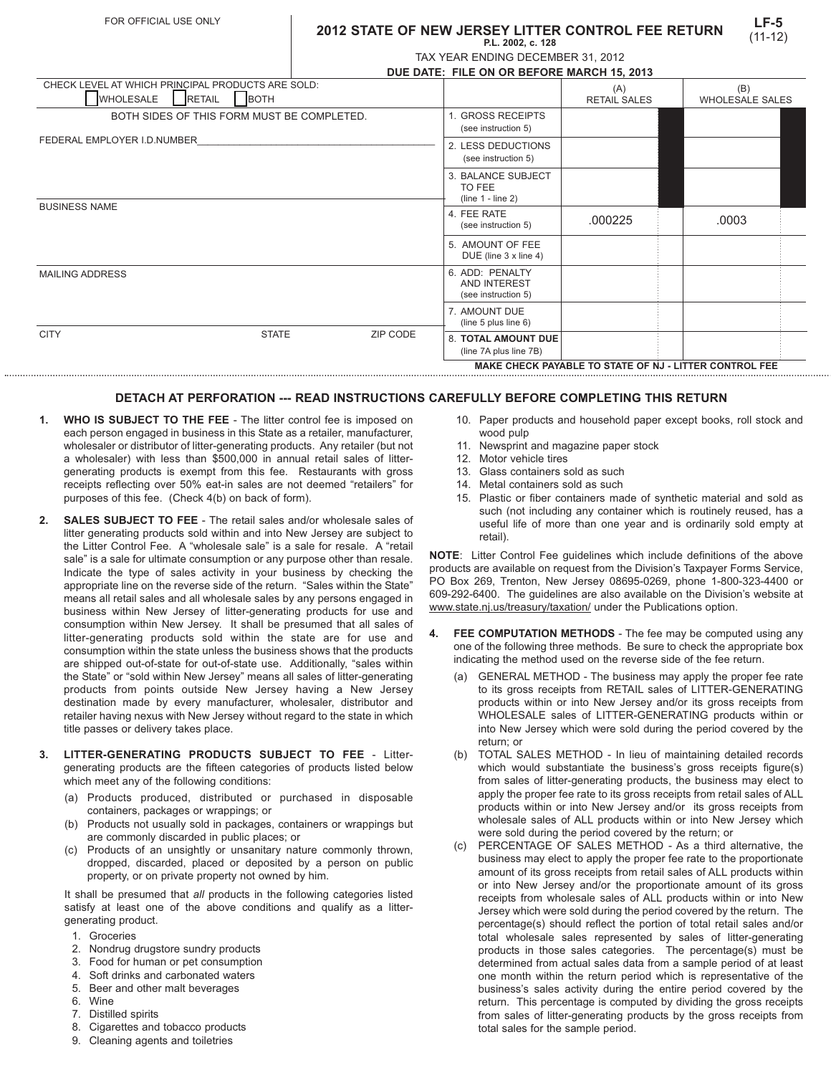## **LF-5** (11-12) **2012 STATE OF NEW JERSEY LITTER CONTROL FEE RETURN P.L. 2002, c. 128**

| TAX YEAR ENDING DECEMBER 31, 2012 |  |
|-----------------------------------|--|

|                                                                                 |                                            |                                            | INVEILAIRENDING DEOEMDER 01, 2012                      |                            |                               |  |
|---------------------------------------------------------------------------------|--------------------------------------------|--------------------------------------------|--------------------------------------------------------|----------------------------|-------------------------------|--|
|                                                                                 |                                            | DUE DATE: FILE ON OR BEFORE MARCH 15, 2013 |                                                        |                            |                               |  |
| CHECK LEVEL AT WHICH PRINCIPAL PRODUCTS ARE SOLD:<br>WHOLESALE<br><b>RETAIL</b> | <b>BOTH</b>                                |                                            |                                                        | (A)<br><b>RETAIL SALES</b> | (B)<br><b>WHOLESALE SALES</b> |  |
|                                                                                 | BOTH SIDES OF THIS FORM MUST BE COMPLETED. |                                            | 1. GROSS RECEIPTS<br>(see instruction 5)               |                            |                               |  |
| FEDERAL EMPLOYER I.D.NUMBER                                                     |                                            |                                            | 2. LESS DEDUCTIONS<br>(see instruction 5)              |                            |                               |  |
|                                                                                 |                                            |                                            | 3. BALANCE SUBJECT<br>TO FEE<br>$(line 1 - line 2)$    |                            |                               |  |
| <b>BUSINESS NAME</b>                                                            |                                            |                                            | 4. FEE RATE<br>(see instruction 5)                     | .000225                    | .0003                         |  |
|                                                                                 |                                            |                                            | 5. AMOUNT OF FEE<br>DUE (line $3 \times$ line $4$ )    |                            |                               |  |
| <b>MAILING ADDRESS</b>                                                          |                                            |                                            | 6. ADD: PENALTY<br>AND INTEREST<br>(see instruction 5) |                            |                               |  |
|                                                                                 |                                            |                                            | 7. AMOUNT DUE<br>(line 5 plus line $6$ )               |                            |                               |  |
| <b>CITY</b>                                                                     | <b>STATE</b>                               | ZIP CODE                                   | <b>8. TOTAL AMOUNT DUE</b>                             |                            |                               |  |

## **DETACH AT PERFORATION --- READ INSTRUCTIONS CAREFULLY BEFORE COMPLETING THIS RETURN**

- **1. WHO IS SUBJECT TO THE FEE** The litter control fee is imposed on each person engaged in business in this State as a retailer, manufacturer, wholesaler or distributor of litter-generating products. Any retailer (but not a wholesaler) with less than \$500,000 in annual retail sales of littergenerating products is exempt from this fee. Restaurants with gross receipts reflecting over 50% eat-in sales are not deemed "retailers" for purposes of this fee. (Check 4(b) on back of form).
- **2. SALES SUBJECT TO FEE**  The retail sales and/or wholesale sales of litter generating products sold within and into New Jersey are subject to the Litter Control Fee. A "wholesale sale" is a sale for resale. A "retail sale" is a sale for ultimate consumption or any purpose other than resale. Indicate the type of sales activity in your business by checking the appropriate line on the reverse side of the return. "Sales within the State" means all retail sales and all wholesale sales by any persons engaged in business within New Jersey of litter-generating products for use and consumption within New Jersey. It shall be presumed that all sales of litter-generating products sold within the state are for use and consumption within the state unless the business shows that the products are shipped out-of-state for out-of-state use. Additionally, "sales within the State" or "sold within New Jersey" means all sales of litter-generating products from points outside New Jersey having a New Jersey destination made by every manufacturer, wholesaler, distributor and retailer having nexus with New Jersey without regard to the state in which title passes or delivery takes place.
- **3. LITTER-GENERATING PRODUCTS SUBJECT TO FEE** Littergenerating products are the fifteen categories of products listed below which meet any of the following conditions:
	- (a) Products produced, distributed or purchased in disposable containers, packages or wrappings; or
	- (b) Products not usually sold in packages, containers or wrappings but are commonly discarded in public places; or
	- (c) Products of an unsightly or unsanitary nature commonly thrown, dropped, discarded, placed or deposited by a person on public property, or on private property not owned by him.

It shall be presumed that *all* products in the following categories listed satisfy at least one of the above conditions and qualify as a littergenerating product.

- 1. Groceries
- 2. Nondrug drugstore sundry products
- 3. Food for human or pet consumption
- 4. Soft drinks and carbonated waters
- 5. Beer and other malt beverages
- 6. Wine
- 7. Distilled spirits
- 8. Cigarettes and tobacco products
- 9. Cleaning agents and toiletries

10. Paper products and household paper except books, roll stock and wood pulp

**MAKE CHECK PAYABLE TO STATE OF NJ - LITTER CONTROL FEE**

- 11. Newsprint and magazine paper stock
- 12. Motor vehicle tires

(line 7A plus line 7B)

- 13. Glass containers sold as such
- 14. Metal containers sold as such
- 15. Plastic or fiber containers made of synthetic material and sold as such (not including any container which is routinely reused, has a useful life of more than one year and is ordinarily sold empty at retail).

**NOTE**: Litter Control Fee guidelines which include definitions of the above products are available on request from the Division's Taxpayer Forms Service, PO Box 269, Trenton, New Jersey 08695-0269, phone 1-800-323-4400 or 609-292-6400. The guidelines are also available on the Division's website at www.state.nj.us/treasury/taxation/ under the Publications option.

- FEE COMPUTATION METHODS The fee may be computed using any one of the following three methods. Be sure to check the appropriate box indicating the method used on the reverse side of the fee return.
	- (a) GENERAL METHOD The business may apply the proper fee rate to its gross receipts from RETAIL sales of LITTER-GENERATING products within or into New Jersey and/or its gross receipts from WHOLESALE sales of LITTER-GENERATING products within or into New Jersey which were sold during the period covered by the return; or
	- (b) TOTAL SALES METHOD In lieu of maintaining detailed records which would substantiate the business's gross receipts figure(s) from sales of litter-generating products, the business may elect to apply the proper fee rate to its gross receipts from retail sales of ALL products within or into New Jersey and/or its gross receipts from wholesale sales of ALL products within or into New Jersey which were sold during the period covered by the return; or
	- (c) PERCENTAGE OF SALES METHOD As a third alternative, the business may elect to apply the proper fee rate to the proportionate amount of its gross receipts from retail sales of ALL products within or into New Jersey and/or the proportionate amount of its gross receipts from wholesale sales of ALL products within or into New Jersey which were sold during the period covered by the return. The percentage(s) should reflect the portion of total retail sales and/or total wholesale sales represented by sales of litter-generating products in those sales categories. The percentage(s) must be determined from actual sales data from a sample period of at least one month within the return period which is representative of the business's sales activity during the entire period covered by the return. This percentage is computed by dividing the gross receipts from sales of litter-generating products by the gross receipts from total sales for the sample period.